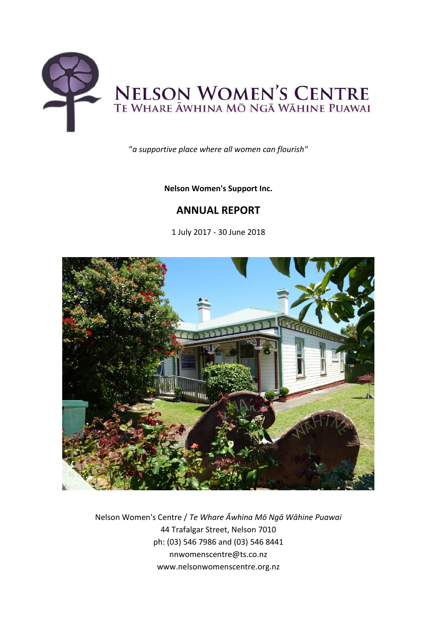

"*a supportive place where all women can flourish"*

## **Nelson Women's Support Inc.**

# **ANNUAL REPORT**

1 July 2017 - 30 June 2018



Nelson Women's Centre / *Te Whare Āwhina Mō Ngā Wāhine Puawai* 44 Trafalgar Street, Nelson 7010 ph: (03) 546 7986 and (03) 546 8441 nnwomenscentre@ts.co.nz www.nelsonwomenscentre.org.nz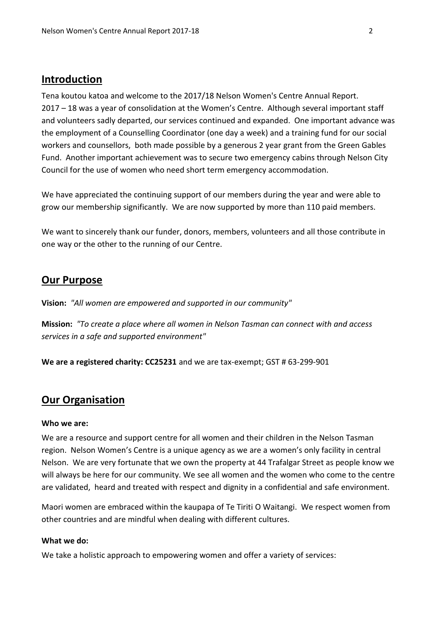## **Introduction**

Tena koutou katoa and welcome to the 2017/18 Nelson Women's Centre Annual Report. 2017 – 18 was a year of consolidation at the Women's Centre. Although several important staff and volunteers sadly departed, our services continued and expanded. One important advance was the employment of a Counselling Coordinator (one day a week) and a training fund for our social workers and counsellors, both made possible by a generous 2 year grant from the Green Gables Fund. Another important achievement was to secure two emergency cabins through Nelson City Council for the use of women who need short term emergency accommodation.

We have appreciated the continuing support of our members during the year and were able to grow our membership significantly. We are now supported by more than 110 paid members.

We want to sincerely thank our funder, donors, members, volunteers and all those contribute in one way or the other to the running of our Centre.

## **Our Purpose**

**Vision:** *"All women are empowered and supported in our community"*

**Mission:** *"To create a place where all women in Nelson Tasman can connect with and access services in a safe and supported environment"*

**We are a registered charity: CC25231** and we are tax-exempt; GST # 63-299-901

## **Our Organisation**

#### **Who we are:**

We are a resource and support centre for all women and their children in the Nelson Tasman region. Nelson Women's Centre is a unique agency as we are a women's only facility in central Nelson. We are very fortunate that we own the property at 44 Trafalgar Street as people know we will always be here for our community. We see all women and the women who come to the centre are validated, heard and treated with respect and dignity in a confidential and safe environment.

Maori women are embraced within the kaupapa of Te Tiriti O Waitangi. We respect women from other countries and are mindful when dealing with different cultures.

## **What we do:**

We take a holistic approach to empowering women and offer a variety of services: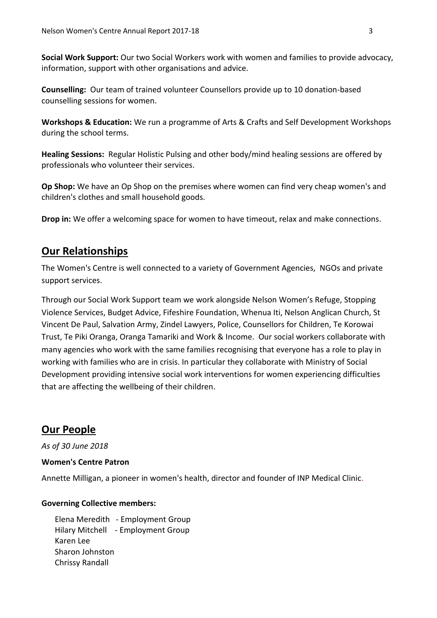**Social Work Support:** Our two Social Workers work with women and families to provide advocacy, information, support with other organisations and advice.

**Counselling:** Our team of trained volunteer Counsellors provide up to 10 donation-based counselling sessions for women.

**Workshops & Education:** We run a programme of Arts & Crafts and Self Development Workshops during the school terms.

**Healing Sessions:** Regular Holistic Pulsing and other body/mind healing sessions are offered by professionals who volunteer their services.

**Op Shop:** We have an Op Shop on the premises where women can find very cheap women's and children's clothes and small household goods.

**Drop in:** We offer a welcoming space for women to have timeout, relax and make connections.

## **Our Relationships**

The Women's Centre is well connected to a variety of Government Agencies, NGOs and private support services.

Through our Social Work Support team we work alongside Nelson Women's Refuge, Stopping Violence Services, Budget Advice, Fifeshire Foundation, Whenua Iti, Nelson Anglican Church, St Vincent De Paul, Salvation Army, Zindel Lawyers, Police, Counsellors for Children, Te Korowai Trust, Te Piki Oranga, Oranga Tamariki and Work & Income. Our social workers collaborate with many agencies who work with the same families recognising that everyone has a role to play in working with families who are in crisis. In particular they collaborate with Ministry of Social Development providing intensive social work interventions for women experiencing difficulties that are affecting the wellbeing of their children.

## **Our People**

*As of 30 June 2018*

## **Women's Centre Patron**

Annette Milligan, a pioneer in women's health, director and founder of INP Medical Clinic.

## **Governing Collective members:**

Elena Meredith - Employment Group Hilary Mitchell - Employment Group Karen Lee Sharon Johnston Chrissy Randall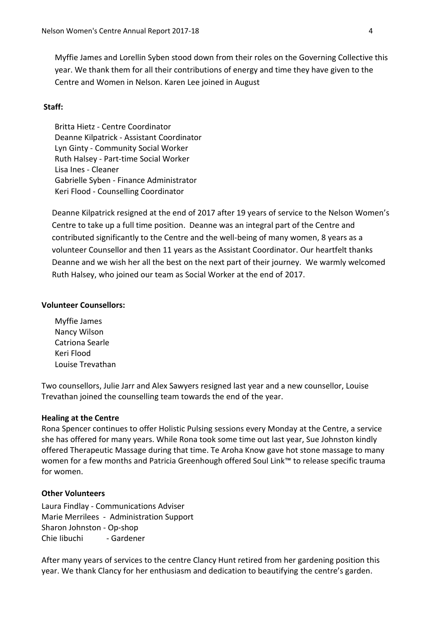Myffie James and Lorellin Syben stood down from their roles on the Governing Collective this year. We thank them for all their contributions of energy and time they have given to the Centre and Women in Nelson. Karen Lee joined in August

### **Staff:**

Britta Hietz - Centre Coordinator Deanne Kilpatrick - Assistant Coordinator Lyn Ginty - Community Social Worker Ruth Halsey - Part-time Social Worker Lisa Ines - Cleaner Gabrielle Syben - Finance Administrator Keri Flood - Counselling Coordinator

Deanne Kilpatrick resigned at the end of 2017 after 19 years of service to the Nelson Women's Centre to take up a full time position. Deanne was an integral part of the Centre and contributed significantly to the Centre and the well-being of many women, 8 years as a volunteer Counsellor and then 11 years as the Assistant Coordinator. Our heartfelt thanks Deanne and we wish her all the best on the next part of their journey. We warmly welcomed Ruth Halsey, who joined our team as Social Worker at the end of 2017.

#### **Volunteer Counsellors:**

Myffie James Nancy Wilson Catriona Searle Keri Flood Louise Trevathan

Two counsellors, Julie Jarr and Alex Sawyers resigned last year and a new counsellor, Louise Trevathan joined the counselling team towards the end of the year.

#### **Healing at the Centre**

Rona Spencer continues to offer Holistic Pulsing sessions every Monday at the Centre, a service she has offered for many years. While Rona took some time out last year, Sue Johnston kindly offered Therapeutic Massage during that time. Te Aroha Know gave hot stone massage to many women for a few months and Patricia Greenhough offered Soul Link™ to release specific trauma for women.

### **Other Volunteers**

Laura Findlay - Communications Adviser Marie Merrilees - Administration Support Sharon Johnston - Op-shop Chie Iibuchi - Gardener

After many years of services to the centre Clancy Hunt retired from her gardening position this year. We thank Clancy for her enthusiasm and dedication to beautifying the centre's garden.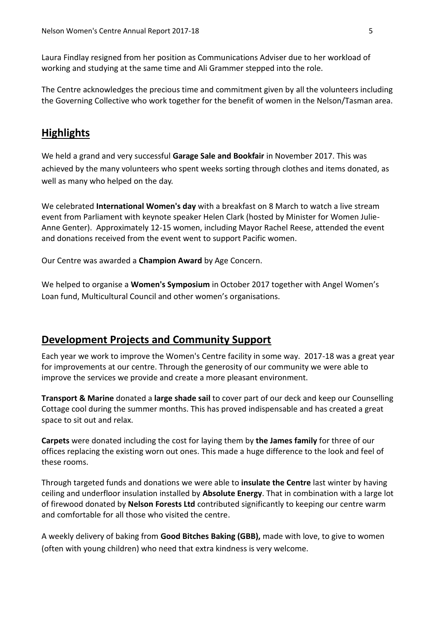Laura Findlay resigned from her position as Communications Adviser due to her workload of working and studying at the same time and Ali Grammer stepped into the role.

The Centre acknowledges the precious time and commitment given by all the volunteers including the Governing Collective who work together for the benefit of women in the Nelson/Tasman area.

## **Highlights**

We held a grand and very successful **Garage Sale and Bookfair** in November 2017. This was achieved by the many volunteers who spent weeks sorting through clothes and items donated, as well as many who helped on the day.

We celebrated **International Women's day** with a breakfast on 8 March to watch a live stream event from Parliament with keynote speaker Helen Clark (hosted by Minister for Women Julie-Anne Genter). Approximately 12-15 women, including Mayor Rachel Reese, attended the event and donations received from the event went to support Pacific women.

Our Centre was awarded a **Champion Award** by Age Concern.

We helped to organise a **Women's Symposium** in October 2017 together with Angel Women's Loan fund, Multicultural Council and other women's organisations.

## **Development Projects and Community Support**

Each year we work to improve the Women's Centre facility in some way. 2017-18 was a great year for improvements at our centre. Through the generosity of our community we were able to improve the services we provide and create a more pleasant environment.

**Transport & Marine** donated a **large shade sail** to cover part of our deck and keep our Counselling Cottage cool during the summer months. This has proved indispensable and has created a great space to sit out and relax.

**Carpets** were donated including the cost for laying them by **the James family** for three of our offices replacing the existing worn out ones. This made a huge difference to the look and feel of these rooms.

Through targeted funds and donations we were able to **insulate the Centre** last winter by having ceiling and underfloor insulation installed by **Absolute Energy**. That in combination with a large lot of firewood donated by **Nelson Forests Ltd** contributed significantly to keeping our centre warm and comfortable for all those who visited the centre.

A weekly delivery of baking from **Good Bitches Baking (GBB),** made with love, to give to women (often with young children) who need that extra kindness is very welcome.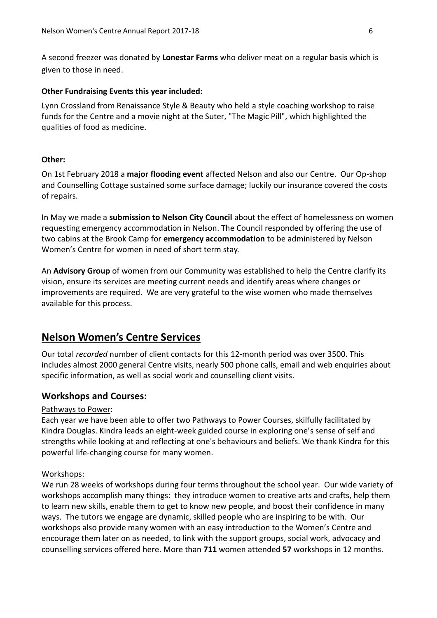A second freezer was donated by **Lonestar Farms** who deliver meat on a regular basis which is given to those in need.

#### **Other Fundraising Events this year included:**

Lynn Crossland from Renaissance Style & Beauty who held a style coaching workshop to raise funds for the Centre and a movie night at the Suter, "The Magic Pill", which highlighted the qualities of food as medicine.

### **Other:**

On 1st February 2018 a **major flooding event** affected Nelson and also our Centre. Our Op-shop and Counselling Cottage sustained some surface damage; luckily our insurance covered the costs of repairs.

In May we made a **submission to Nelson City Council** about the effect of homelessness on women requesting emergency accommodation in Nelson. The Council responded by offering the use of two cabins at the Brook Camp for **emergency accommodation** to be administered by Nelson Women's Centre for women in need of short term stay.

An **Advisory Group** of women from our Community was established to help the Centre clarify its vision, ensure its services are meeting current needs and identify areas where changes or improvements are required. We are very grateful to the wise women who made themselves available for this process.

## **Nelson Women's Centre Services**

Our total *recorded* number of client contacts for this 12-month period was over 3500. This includes almost 2000 general Centre visits, nearly 500 phone calls, email and web enquiries about specific information, as well as social work and counselling client visits.

## **Workshops and Courses:**

#### Pathways to Power:

Each year we have been able to offer two Pathways to Power Courses, skilfully facilitated by Kindra Douglas. Kindra leads an eight-week guided course in exploring one's sense of self and strengths while looking at and reflecting at one's behaviours and beliefs. We thank Kindra for this powerful life-changing course for many women.

#### Workshops:

We run 28 weeks of workshops during four terms throughout the school year. Our wide variety of workshops accomplish many things: they introduce women to creative arts and crafts, help them to learn new skills, enable them to get to know new people, and boost their confidence in many ways. The tutors we engage are dynamic, skilled people who are inspiring to be with. Our workshops also provide many women with an easy introduction to the Women's Centre and encourage them later on as needed, to link with the support groups, social work, advocacy and counselling services offered here. More than **711** women attended **57** workshops in 12 months.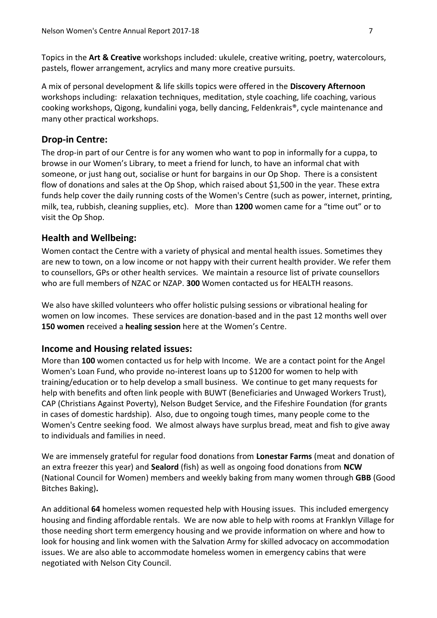Topics in the **Art & Creative** workshops included: ukulele, creative writing, poetry, watercolours, pastels, flower arrangement, acrylics and many more creative pursuits.

A mix of personal development & life skills topics were offered in the **Discovery Afternoon** workshops including: relaxation techniques, meditation, style coaching, life coaching, various cooking workshops, Qigong, kundalini yoga, belly dancing, Feldenkrais®, cycle maintenance and many other practical workshops.

## **Drop-in Centre:**

The drop-in part of our Centre is for any women who want to pop in informally for a cuppa, to browse in our Women's Library, to meet a friend for lunch, to have an informal chat with someone, or just hang out, socialise or hunt for bargains in our Op Shop. There is a consistent flow of donations and sales at the Op Shop, which raised about \$1,500 in the year. These extra funds help cover the daily running costs of the Women's Centre (such as power, internet, printing, milk, tea, rubbish, cleaning supplies, etc). More than **1200** women came for a "time out" or to visit the Op Shop.

## **Health and Wellbeing:**

Women contact the Centre with a variety of physical and mental health issues. Sometimes they are new to town, on a low income or not happy with their current health provider. We refer them to counsellors, GPs or other health services. We maintain a resource list of private counsellors who are full members of NZAC or NZAP. **300** Women contacted us for HEALTH reasons.

We also have skilled volunteers who offer holistic pulsing sessions or vibrational healing for women on low incomes. These services are donation-based and in the past 12 months well over **150 women** received a **healing session** here at the Women's Centre.

## **Income and Housing related issues:**

More than **100** women contacted us for help with Income. We are a contact point for the Angel Women's Loan Fund, who provide no-interest loans up to \$1200 for women to help with training/education or to help develop a small business. We continue to get many requests for help with benefits and often link people with BUWT (Beneficiaries and Unwaged Workers Trust), CAP (Christians Against Poverty), Nelson Budget Service, and the Fifeshire Foundation (for grants in cases of domestic hardship). Also, due to ongoing tough times, many people come to the Women's Centre seeking food. We almost always have surplus bread, meat and fish to give away to individuals and families in need.

We are immensely grateful for regular food donations from **Lonestar Farms** (meat and donation of an extra freezer this year) and **Sealord** (fish) as well as ongoing food donations from **NCW**  (National Council for Women) members and weekly baking from many women through **GBB** (Good Bitches Baking)**.** 

An additional **64** homeless women requested help with Housing issues. This included emergency housing and finding affordable rentals. We are now able to help with rooms at Franklyn Village for those needing short term emergency housing and we provide information on where and how to look for housing and link women with the Salvation Army for skilled advocacy on accommodation issues. We are also able to accommodate homeless women in emergency cabins that were negotiated with Nelson City Council.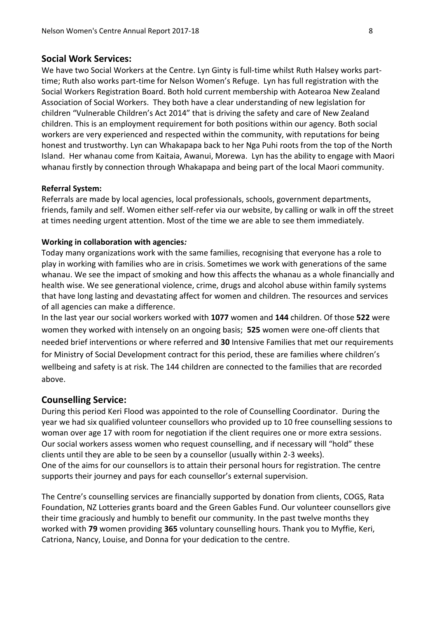## **Social Work Services:**

We have two Social Workers at the Centre. Lyn Ginty is full-time whilst Ruth Halsey works parttime; Ruth also works part-time for Nelson Women's Refuge. Lyn has full registration with the Social Workers Registration Board. Both hold current membership with Aotearoa New Zealand Association of Social Workers. They both have a clear understanding of new legislation for children "Vulnerable Children's Act 2014" that is driving the safety and care of New Zealand children. This is an employment requirement for both positions within our agency. Both social workers are very experienced and respected within the community, with reputations for being honest and trustworthy. Lyn can Whakapapa back to her Nga Puhi roots from the top of the North Island. Her whanau come from Kaitaia, Awanui, Morewa. Lyn has the ability to engage with Maori whanau firstly by connection through Whakapapa and being part of the local Maori community.

### **Referral System:**

Referrals are made by local agencies, local professionals, schools, government departments, friends, family and self. Women either self-refer via our website, by calling or walk in off the street at times needing urgent attention. Most of the time we are able to see them immediately.

#### **Working in collaboration with agencies***:*

Today many organizations work with the same families, recognising that everyone has a role to play in working with families who are in crisis. Sometimes we work with generations of the same whanau. We see the impact of smoking and how this affects the whanau as a whole financially and health wise. We see generational violence, crime, drugs and alcohol abuse within family systems that have long lasting and devastating affect for women and children. The resources and services of all agencies can make a difference.

In the last year our social workers worked with **1077** women and **144** children. Of those **522** were women they worked with intensely on an ongoing basis; **525** women were one-off clients that needed brief interventions or where referred and **30** Intensive Families that met our requirements for Ministry of Social Development contract for this period, these are families where children's wellbeing and safety is at risk. The 144 children are connected to the families that are recorded above.

## **Counselling Service:**

During this period Keri Flood was appointed to the role of Counselling Coordinator. During the year we had six qualified volunteer counsellors who provided up to 10 free counselling sessions to woman over age 17 with room for negotiation if the client requires one or more extra sessions. Our social workers assess women who request counselling, and if necessary will "hold" these clients until they are able to be seen by a counsellor (usually within 2-3 weeks). One of the aims for our counsellors is to attain their personal hours for registration. The centre supports their journey and pays for each counsellor's external supervision.

The Centre's counselling services are financially supported by donation from clients, COGS, Rata Foundation, NZ Lotteries grants board and the Green Gables Fund. Our volunteer counsellors give their time graciously and humbly to benefit our community. In the past twelve months they worked with **79** women providing **365** voluntary counselling hours. Thank you to Myffie, Keri, Catriona, Nancy, Louise, and Donna for your dedication to the centre.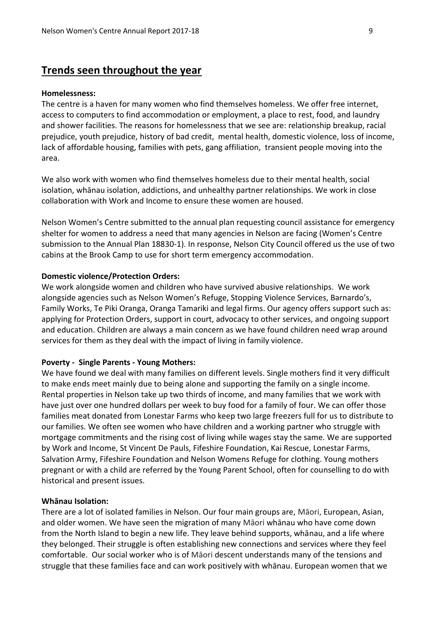# **Trends seen throughout the year**

#### **Homelessness:**

The centre is a haven for many women who find themselves homeless. We offer free internet, access to computers to find accommodation or employment, a place to rest, food, and laundry and shower facilities. The reasons for homelessness that we see are: relationship breakup, racial prejudice, youth prejudice, history of bad credit, mental health, domestic violence, loss of income, lack of affordable housing, families with pets, gang affiliation, transient people moving into the area.

We also work with women who find themselves homeless due to their mental health, social isolation, whānau isolation, addictions, and unhealthy partner relationships. We work in close collaboration with Work and Income to ensure these women are housed.

Nelson Women's Centre submitted to the annual plan requesting council assistance for emergency shelter for women to address a need that many agencies in Nelson are facing (Women's Centre submission to the Annual Plan 18830-1). In response, Nelson City Council offered us the use of two cabins at the Brook Camp to use for short term emergency accommodation.

#### **Domestic violence/Protection Orders:**

We work alongside women and children who have survived abusive relationships. We work alongside agencies such as Nelson Women's Refuge, Stopping Violence Services, Barnardo's, Family Works, Te Piki Oranga, Oranga Tamariki and legal firms. Our agency offers support such as: applying for Protection Orders, support in court, advocacy to other services, and ongoing support and education. Children are always a main concern as we have found children need wrap around services for them as they deal with the impact of living in family violence.

#### **Poverty - Single Parents - Young Mothers:**

We have found we deal with many families on different levels. Single mothers find it very difficult to make ends meet mainly due to being alone and supporting the family on a single income. Rental properties in Nelson take up two thirds of income, and many families that we work with have just over one hundred dollars per week to buy food for a family of four. We can offer those families meat donated from Lonestar Farms who keep two large freezers full for us to distribute to our families. We often see women who have children and a working partner who struggle with mortgage commitments and the rising cost of living while wages stay the same. We are supported by Work and Income, St Vincent De Pauls, Fifeshire Foundation, Kai Rescue, Lonestar Farms, Salvation Army, Fifeshire Foundation and Nelson Womens Refuge for clothing. Young mothers pregnant or with a child are referred by the Young Parent School, often for counselling to do with historical and present issues.

#### **Whānau Isolation:**

There are a lot of isolated families in Nelson. Our four main groups are, Māori, European, Asian, and older women. We have seen the migration of many Māori whānau who have come down from the North Island to begin a new life. They leave behind supports, whānau, and a life where they belonged. Their struggle is often establishing new connections and services where they feel comfortable. Our social worker who is of Māori descent understands many of the tensions and struggle that these families face and can work positively with whānau. European women that we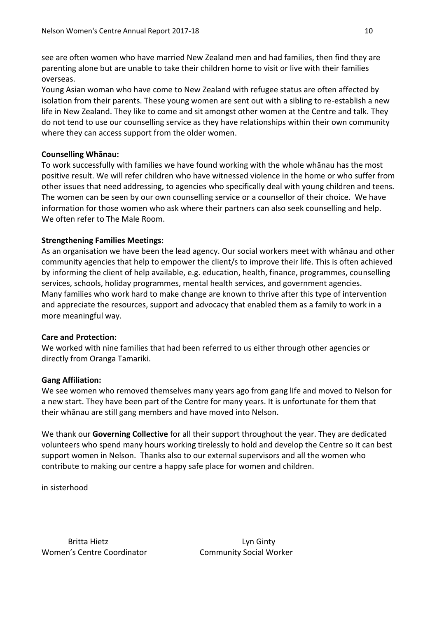see are often women who have married New Zealand men and had families, then find they are parenting alone but are unable to take their children home to visit or live with their families overseas.

Young Asian woman who have come to New Zealand with refugee status are often affected by isolation from their parents. These young women are sent out with a sibling to re-establish a new life in New Zealand. They like to come and sit amongst other women at the Centre and talk. They do not tend to use our counselling service as they have relationships within their own community where they can access support from the older women.

## **Counselling Whānau:**

To work successfully with families we have found working with the whole whānau has the most positive result. We will refer children who have witnessed violence in the home or who suffer from other issues that need addressing, to agencies who specifically deal with young children and teens. The women can be seen by our own counselling service or a counsellor of their choice. We have information for those women who ask where their partners can also seek counselling and help. We often refer to The Male Room.

## **Strengthening Families Meetings:**

As an organisation we have been the lead agency. Our social workers meet with whānau and other community agencies that help to empower the client/s to improve their life. This is often achieved by informing the client of help available, e.g. education, health, finance, programmes, counselling services, schools, holiday programmes, mental health services, and government agencies. Many families who work hard to make change are known to thrive after this type of intervention and appreciate the resources, support and advocacy that enabled them as a family to work in a more meaningful way.

## **Care and Protection:**

We worked with nine families that had been referred to us either through other agencies or directly from Oranga Tamariki.

## **Gang Affiliation:**

We see women who removed themselves many years ago from gang life and moved to Nelson for a new start. They have been part of the Centre for many years. It is unfortunate for them that their whānau are still gang members and have moved into Nelson.

We thank our **Governing Collective** for all their support throughout the year. They are dedicated volunteers who spend many hours working tirelessly to hold and develop the Centre so it can best support women in Nelson. Thanks also to our external supervisors and all the women who contribute to making our centre a happy safe place for women and children.

in sisterhood

Britta Hietz **Lyn Ginty** Women's Centre Coordinator Community Social Worker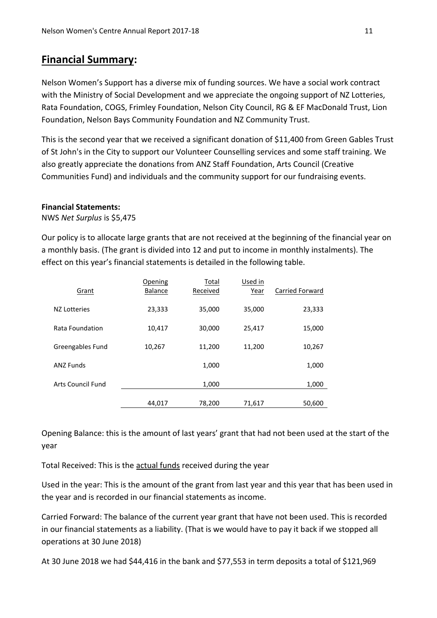# **Financial Summary:**

Nelson Women's Support has a diverse mix of funding sources. We have a social work contract with the Ministry of Social Development and we appreciate the ongoing support of NZ Lotteries, Rata Foundation, COGS, Frimley Foundation, Nelson City Council, RG & EF MacDonald Trust, Lion Foundation, Nelson Bays Community Foundation and NZ Community Trust.

This is the second year that we received a significant donation of \$11,400 from Green Gables Trust of St John's in the City to support our Volunteer Counselling services and some staff training. We also greatly appreciate the donations from ANZ Staff Foundation, Arts Council (Creative Communities Fund) and individuals and the community support for our fundraising events.

## **Financial Statements:**

NWS *Net Surplus* is \$5,475

Our policy is to allocate large grants that are not received at the beginning of the financial year on a monthly basis. (The grant is divided into 12 and put to income in monthly instalments). The effect on this year's financial statements is detailed in the following table.

| Carried Forward<br><b>Balance</b><br>Received<br>Grant<br>Year<br>35,000<br>23,333<br>35,000<br>23,333<br>NZ Lotteries<br>10,417<br>30,000<br>25,417<br>Rata Foundation<br>15,000<br>Greengables Fund<br>10,267<br>11,200<br>11,200<br>10,267<br>1,000<br><b>ANZ Funds</b><br>1,000<br>Arts Council Fund<br>1,000<br>1,000<br>44,017<br>78,200<br>50,600<br>71,617 | Opening | Total | Used in |  |
|--------------------------------------------------------------------------------------------------------------------------------------------------------------------------------------------------------------------------------------------------------------------------------------------------------------------------------------------------------------------|---------|-------|---------|--|
|                                                                                                                                                                                                                                                                                                                                                                    |         |       |         |  |
|                                                                                                                                                                                                                                                                                                                                                                    |         |       |         |  |
|                                                                                                                                                                                                                                                                                                                                                                    |         |       |         |  |
|                                                                                                                                                                                                                                                                                                                                                                    |         |       |         |  |
|                                                                                                                                                                                                                                                                                                                                                                    |         |       |         |  |
|                                                                                                                                                                                                                                                                                                                                                                    |         |       |         |  |
|                                                                                                                                                                                                                                                                                                                                                                    |         |       |         |  |

Opening Balance: this is the amount of last years' grant that had not been used at the start of the year

Total Received: This is the actual funds received during the year

Used in the year: This is the amount of the grant from last year and this year that has been used in the year and is recorded in our financial statements as income.

Carried Forward: The balance of the current year grant that have not been used. This is recorded in our financial statements as a liability. (That is we would have to pay it back if we stopped all operations at 30 June 2018)

At 30 June 2018 we had \$44,416 in the bank and \$77,553 in term deposits a total of \$121,969